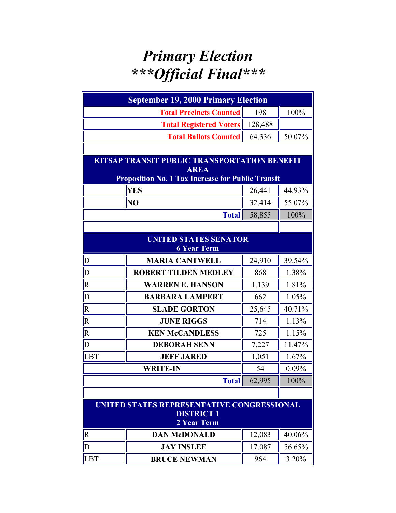## *Primary Election \*\*\*Official Final\*\*\**

| <b>September 19, 2000 Primary Election</b>                                     |                                                                                                                         |         |        |  |
|--------------------------------------------------------------------------------|-------------------------------------------------------------------------------------------------------------------------|---------|--------|--|
| <b>Total Precincts Counted</b><br>198<br>100%                                  |                                                                                                                         |         |        |  |
|                                                                                | <b>Total Registered Voters</b>                                                                                          | 128,488 |        |  |
|                                                                                | <b>Total Ballots Counted</b>                                                                                            | 64,336  | 50.07% |  |
|                                                                                |                                                                                                                         |         |        |  |
|                                                                                | KITSAP TRANSIT PUBLIC TRANSPORTATION BENEFIT<br><b>AREA</b><br><b>Proposition No. 1 Tax Increase for Public Transit</b> |         |        |  |
| <b>YES</b><br>26,441                                                           |                                                                                                                         |         | 44.93% |  |
|                                                                                | NO                                                                                                                      | 32,414  | 55.07% |  |
|                                                                                | <b>Total</b>                                                                                                            | 58,855  | 100%   |  |
|                                                                                |                                                                                                                         |         |        |  |
| <b>UNITED STATES SENATOR</b><br><b>6 Year Term</b>                             |                                                                                                                         |         |        |  |
| $\mathbf D$                                                                    | <b>MARIA CANTWELL</b>                                                                                                   | 24,910  | 39.54% |  |
| $\overline{D}$                                                                 | <b>ROBERT TILDEN MEDLEY</b>                                                                                             | 868     | 1.38%  |  |
| $\mathsf{R}$                                                                   | <b>WARREN E. HANSON</b>                                                                                                 | 1,139   | 1.81%  |  |
| $\overline{D}$                                                                 | <b>BARBARA LAMPERT</b>                                                                                                  | 662     | 1.05%  |  |
| $\overline{\mathbf{R}}$                                                        | <b>SLADE GORTON</b>                                                                                                     | 25,645  | 40.71% |  |
| $\overline{\mathsf{R}}$                                                        | <b>JUNE RIGGS</b>                                                                                                       | 714     | 1.13%  |  |
| $\overline{\mathsf{R}}$                                                        | <b>KEN McCANDLESS</b>                                                                                                   | 725     | 1.15%  |  |
| D                                                                              | <b>DEBORAH SENN</b>                                                                                                     | 7,227   | 11.47% |  |
| <b>LBT</b>                                                                     | <b>JEFF JARED</b>                                                                                                       | 1,051   | 1.67%  |  |
|                                                                                | <b>WRITE-IN</b><br>54                                                                                                   |         |        |  |
|                                                                                | <b>Total</b>                                                                                                            | 62,995  | 100%   |  |
|                                                                                |                                                                                                                         |         |        |  |
| UNITED STATES REPRESENTATIVE CONGRESSIONAL<br><b>DISTRICT 1</b><br>2 Year Term |                                                                                                                         |         |        |  |
| $\overline{\mathsf{R}}$                                                        | <b>DAN McDONALD</b>                                                                                                     | 12,083  | 40.06% |  |
| $\overline{D}$                                                                 | <b>JAY INSLEE</b>                                                                                                       | 17,087  | 56.65% |  |
| <b>LBT</b>                                                                     | <b>BRUCE NEWMAN</b>                                                                                                     | 964     | 3.20%  |  |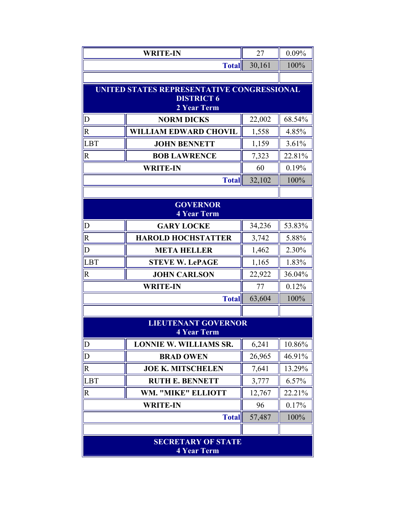|                                                 | <b>WRITE-IN</b>                                  | 27     | 0.09%  |
|-------------------------------------------------|--------------------------------------------------|--------|--------|
|                                                 | <b>Total</b>                                     | 30,161 | 100%   |
|                                                 |                                                  |        |        |
|                                                 | UNITED STATES REPRESENTATIVE CONGRESSIONAL       |        |        |
|                                                 | <b>DISTRICT 6</b><br>2 Year Term                 |        |        |
| $\overline{\mathsf{D}}$                         | <b>NORM DICKS</b>                                | 22,002 | 68.54% |
| $\overline{\mathsf{R}}$                         | <b>WILLIAM EDWARD CHOVIL</b>                     | 1,558  | 4.85%  |
| LBT                                             | <b>JOHN BENNETT</b>                              | 1,159  | 3.61%  |
| $\overline{\mathsf{R}}$                         | <b>BOB LAWRENCE</b>                              | 7,323  | 22.81% |
|                                                 | <b>WRITE-IN</b>                                  | 60     | 0.19%  |
|                                                 | <b>Total</b>                                     | 32,102 | 100%   |
|                                                 |                                                  |        |        |
|                                                 | <b>GOVERNOR</b><br><b>4 Year Term</b>            |        |        |
| $\mathbf D$                                     | <b>GARY LOCKE</b>                                | 34,236 | 53.83% |
| $\overline{\mathsf{R}}$                         | <b>HAROLD HOCHSTATTER</b>                        | 3,742  | 5.88%  |
| $\overline{D}$                                  | <b>META HELLER</b>                               | 1,462  | 2.30%  |
| LBT                                             | <b>STEVE W. LePAGE</b>                           | 1,165  | 1.83%  |
| $\overline{\mathsf{R}}$                         | <b>JOHN CARLSON</b>                              | 22,922 | 36.04% |
|                                                 | <b>WRITE-IN</b>                                  | 77     | 0.12%  |
|                                                 | <b>Total</b>                                     | 63,604 | 100%   |
|                                                 |                                                  |        |        |
|                                                 | <b>LIEUTENANT GOVERNOR</b><br><b>4 Year Term</b> |        |        |
| $\overline{D}$                                  | <b>LONNIE W. WILLIAMS SR.</b>                    | 6,241  | 10.86% |
| $\overline{\mathsf{D}}$                         | <b>BRAD OWEN</b>                                 | 26,965 | 46.91% |
| $\overline{\mathsf{R}}$                         | <b>JOE K. MITSCHELEN</b>                         | 7,641  | 13.29% |
| LBT                                             | <b>RUTH E. BENNETT</b>                           | 3,777  | 6.57%  |
| $\overline{R}$                                  | WM. "MIKE" ELLIOTT                               | 12,767 | 22.21% |
|                                                 | <b>WRITE-IN</b>                                  | 96     | 0.17%  |
|                                                 | <b>Total</b>                                     | 57,487 | 100%   |
|                                                 |                                                  |        |        |
| <b>SECRETARY OF STATE</b><br><b>4 Year Term</b> |                                                  |        |        |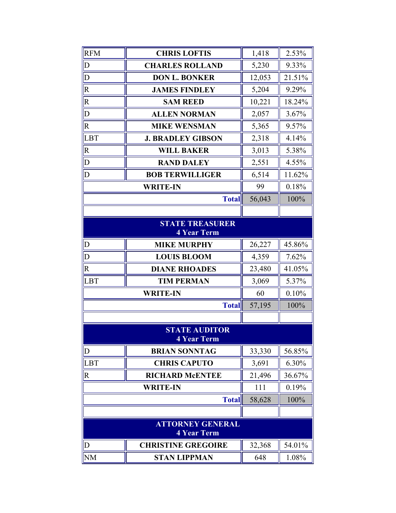| <b>RFM</b>                                    | <b>CHRIS LOFTIS</b>                        | 1,418  | 2.53%  |
|-----------------------------------------------|--------------------------------------------|--------|--------|
| $\mathbf D$                                   | <b>CHARLES ROLLAND</b>                     | 5,230  | 9.33%  |
| $\overline{D}$                                | <b>DON L. BONKER</b>                       | 12,053 | 21.51% |
| $\mathbf R$                                   | <b>JAMES FINDLEY</b>                       | 5,204  | 9.29%  |
| $\overline{\text{R}}$                         | <b>SAM REED</b>                            | 10,221 | 18.24% |
| $\overline{D}$                                | <b>ALLEN NORMAN</b>                        | 2,057  | 3.67%  |
| $\overline{\mathsf{R}}$                       | <b>MIKE WENSMAN</b>                        | 5,365  | 9.57%  |
| LBT                                           | <b>J. BRADLEY GIBSON</b>                   | 2,318  | 4.14%  |
| $\mathsf{R}$                                  | <b>WILL BAKER</b>                          | 3,013  | 5.38%  |
| $\overline{D}$                                | <b>RAND DALEY</b>                          | 2,551  | 4.55%  |
| D                                             | <b>BOB TERWILLIGER</b>                     | 6,514  | 11.62% |
|                                               | <b>WRITE-IN</b>                            | 99     | 0.18%  |
|                                               | <b>Total</b>                               | 56,043 | 100%   |
|                                               |                                            |        |        |
|                                               | <b>STATE TREASURER</b><br>4 Year Term      |        |        |
| $\mathbf D$                                   | <b>MIKE MURPHY</b>                         | 26,227 | 45.86% |
| D                                             | <b>LOUIS BLOOM</b>                         | 4,359  | 7.62%  |
| $\overline{R}$                                | <b>DIANE RHOADES</b>                       | 23,480 | 41.05% |
| <b>LBT</b>                                    | <b>TIM PERMAN</b>                          | 3,069  | 5.37%  |
|                                               | <b>WRITE-IN</b>                            | 60     | 0.10%  |
|                                               | <b>Total</b>                               | 57,195 | 100%   |
|                                               |                                            |        |        |
|                                               | <b>STATE AUDITOR</b><br><b>4 Year Term</b> |        |        |
| $\mathbf{D}$                                  | <b>BRIAN SONNTAG</b>                       | 33,330 | 56.85% |
| <b>LBT</b>                                    | <b>CHRIS CAPUTO</b>                        | 3,691  | 6.30%  |
| $\mathbf R$                                   | <b>RICHARD McENTEE</b>                     | 21,496 | 36.67% |
|                                               | <b>WRITE-IN</b>                            | 111    | 0.19%  |
|                                               | <b>Total</b>                               | 58,628 | 100%   |
|                                               |                                            |        |        |
| <b>ATTORNEY GENERAL</b><br><b>4 Year Term</b> |                                            |        |        |
| $\mathbf D$                                   | <b>CHRISTINE GREGOIRE</b>                  | 32,368 | 54.01% |
| <b>NM</b>                                     | <b>STAN LIPPMAN</b>                        | 648    | 1.08%  |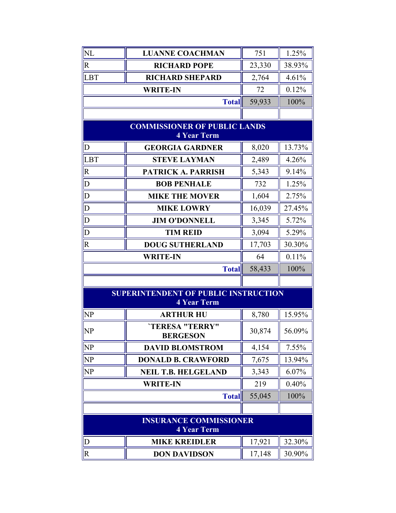| NL                                                  | <b>LUANNE COACHMAN</b>                                            | 751    | 1.25%  |
|-----------------------------------------------------|-------------------------------------------------------------------|--------|--------|
| $\overline{R}$                                      | <b>RICHARD POPE</b>                                               | 23,330 | 38.93% |
| LBT                                                 | <b>RICHARD SHEPARD</b>                                            | 2,764  | 4.61%  |
|                                                     | <b>WRITE-IN</b>                                                   | 72     | 0.12%  |
|                                                     | <b>Total</b>                                                      | 59,933 | 100%   |
|                                                     |                                                                   |        |        |
|                                                     | <b>COMMISSIONER OF PUBLIC LANDS</b><br>4 Year Term                |        |        |
| $\mathbf{D}$                                        | <b>GEORGIA GARDNER</b>                                            | 8,020  | 13.73% |
| LBT                                                 | <b>STEVE LAYMAN</b>                                               | 2,489  | 4.26%  |
| $\overline{R}$                                      | <b>PATRICK A. PARRISH</b>                                         | 5,343  | 9.14%  |
| $\overline{D}$                                      | <b>BOB PENHALE</b>                                                | 732    | 1.25%  |
| $\overline{D}$                                      | <b>MIKE THE MOVER</b>                                             | 1,604  | 2.75%  |
| $\overline{\mathbb{D}}$                             | <b>MIKE LOWRY</b>                                                 | 16,039 | 27.45% |
| $\overline{D}$                                      | <b>JIM O'DONNELL</b>                                              | 3,345  | 5.72%  |
| $\overline{\mathsf{D}}$                             | <b>TIM REID</b>                                                   | 3,094  | 5.29%  |
| $\overline{R}$                                      | <b>DOUG SUTHERLAND</b>                                            | 17,703 | 30.30% |
|                                                     | <b>WRITE-IN</b>                                                   | 64     | 0.11%  |
|                                                     | <b>Total</b>                                                      | 58,433 | 100%   |
|                                                     |                                                                   |        |        |
|                                                     | <b>SUPERINTENDENT OF PUBLIC INSTRUCTION</b><br><b>4 Year Term</b> |        |        |
| <b>NP</b>                                           | <b>ARTHUR HU</b>                                                  | 8,780  | 15.95% |
| NP                                                  | <b>'TERESA "TERRY"</b><br><b>BERGESON</b>                         | 30,874 | 56.09% |
| <b>NP</b>                                           | <b>DAVID BLOMSTROM</b>                                            | 4,154  | 7.55%  |
| NP                                                  | <b>DONALD B. CRAWFORD</b>                                         | 7,675  | 13.94% |
| NP                                                  | <b>NEIL T.B. HELGELAND</b>                                        | 3,343  | 6.07%  |
|                                                     | <b>WRITE-IN</b>                                                   | 219    | 0.40%  |
|                                                     | <b>Total</b>                                                      | 55,045 | 100%   |
|                                                     |                                                                   |        |        |
| <b>INSURANCE COMMISSIONER</b><br><b>4 Year Term</b> |                                                                   |        |        |
| $\mathbf D$                                         | <b>MIKE KREIDLER</b>                                              | 17,921 | 32.30% |
| $\overline{R}$                                      | <b>DON DAVIDSON</b>                                               | 17,148 | 30.90% |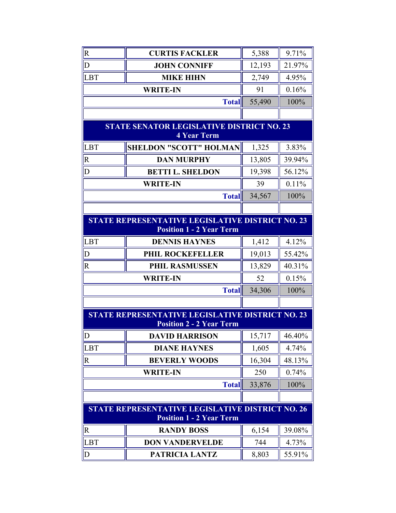| $\overline{\mathsf{R}}$                                                                    | <b>CURTIS FACKLER</b>                                                                      | 5,388  | 9.71%       |
|--------------------------------------------------------------------------------------------|--------------------------------------------------------------------------------------------|--------|-------------|
| $\overline{D}$                                                                             | <b>JOHN CONNIFF</b>                                                                        | 12,193 | 21.97%      |
| <b>LBT</b>                                                                                 | <b>MIKE HIHN</b>                                                                           | 2,749  | 4.95%       |
|                                                                                            | <b>WRITE-IN</b>                                                                            | 91     | 0.16%       |
|                                                                                            | <b>Total</b>                                                                               | 55,490 | 100%        |
|                                                                                            |                                                                                            |        |             |
|                                                                                            | <b>STATE SENATOR LEGISLATIVE DISTRICT NO. 23</b><br><b>4 Year Term</b>                     |        |             |
| <b>LBT</b>                                                                                 | <b>SHELDON "SCOTT" HOLMAN</b>                                                              | 1,325  | 3.83%       |
| $\overline{\mathsf{R}}$                                                                    | <b>DAN MURPHY</b>                                                                          | 13,805 | 39.94%      |
| D                                                                                          | <b>BETTI L. SHELDON</b>                                                                    | 19,398 | 56.12%      |
|                                                                                            | <b>WRITE-IN</b>                                                                            | 39     | 0.11%       |
|                                                                                            | <b>Total</b>                                                                               | 34,567 | 100%        |
|                                                                                            |                                                                                            |        |             |
| STATE REPRESENTATIVE LEGISLATIVE DISTRICT NO. 23<br><b>Position 1 - 2 Year Term</b>        |                                                                                            |        |             |
| LBT                                                                                        | <b>DENNIS HAYNES</b>                                                                       | 1,412  | 4.12%       |
| D                                                                                          | PHIL ROCKEFELLER                                                                           | 19,013 | 55.42%      |
| $\overline{R}$                                                                             | <b>PHIL RASMUSSEN</b>                                                                      | 13,829 | 40.31%      |
|                                                                                            | <b>WRITE-IN</b>                                                                            | 52     | 0.15%       |
|                                                                                            | <b>Total</b>                                                                               | 34,306 | 100%        |
|                                                                                            |                                                                                            |        |             |
|                                                                                            | <b>STATE REPRESENTATIVE LEGISLATIVE DISTRICT NO. 23</b><br><b>Position 2 - 2 Year Term</b> |        |             |
| D                                                                                          | <b>DAVID HARRISON</b>                                                                      | 15,717 | $\ $ 46.40% |
| <b>LBT</b>                                                                                 | <b>DIANE HAYNES</b>                                                                        | 1,605  | 4.74%       |
| $\overline{\mathsf{R}}$                                                                    | <b>BEVERLY WOODS</b>                                                                       | 16,304 | 48.13%      |
|                                                                                            | <b>WRITE-IN</b>                                                                            | 250    | 0.74%       |
|                                                                                            | <b>Total</b>                                                                               | 33,876 | 100%        |
|                                                                                            |                                                                                            |        |             |
| <b>STATE REPRESENTATIVE LEGISLATIVE DISTRICT NO. 26</b><br><b>Position 1 - 2 Year Term</b> |                                                                                            |        |             |
| $\mathbf R$                                                                                | <b>RANDY BOSS</b>                                                                          | 6,154  | 39.08%      |
| <b>LBT</b>                                                                                 | <b>DON VANDERVELDE</b>                                                                     | 744    | 4.73%       |
| $\overline{D}$                                                                             | PATRICIA LANTZ                                                                             | 8,803  | 55.91%      |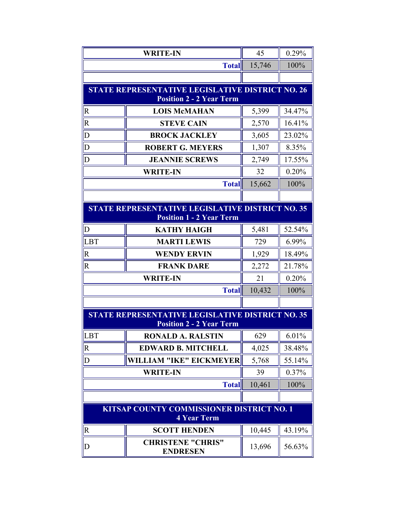|                         | <b>WRITE-IN</b>                                                 | 45     | 0.29%    |
|-------------------------|-----------------------------------------------------------------|--------|----------|
|                         | <b>Total</b>                                                    | 15,746 | 100%     |
|                         |                                                                 |        |          |
|                         | <b>STATE REPRESENTATIVE LEGISLATIVE DISTRICT NO. 26</b>         |        |          |
|                         | <b>Position 2 - 2 Year Term</b>                                 |        |          |
| $\overline{\mathsf{R}}$ | <b>LOIS McMAHAN</b>                                             | 5,399  | 34.47%   |
| $\overline{\mathbf{R}}$ | <b>STEVE CAIN</b>                                               | 2,570  | 16.41%   |
| $\overline{D}$          | <b>BROCK JACKLEY</b>                                            | 3,605  | 23.02%   |
| $\overline{D}$          | <b>ROBERT G. MEYERS</b>                                         | 1,307  | 8.35%    |
| D                       | <b>JEANNIE SCREWS</b>                                           | 2,749  | 17.55%   |
|                         | <b>WRITE-IN</b>                                                 | 32     | 0.20%    |
|                         | <b>Total</b>                                                    | 15,662 | 100%     |
|                         |                                                                 |        |          |
|                         | <b>STATE REPRESENTATIVE LEGISLATIVE DISTRICT NO. 35</b>         |        |          |
|                         | <b>Position 1 - 2 Year Term</b>                                 |        |          |
| $\mathbf D$             | <b>KATHY HAIGH</b>                                              | 5,481  | 52.54%   |
| LBT                     | <b>MARTI LEWIS</b>                                              | 729    | 6.99%    |
| $\overline{R}$          | <b>WENDY ERVIN</b>                                              | 1,929  | 18.49%   |
| $\overline{\mathsf{R}}$ | <b>FRANK DARE</b>                                               | 2,272  | 21.78%   |
|                         | <b>WRITE-IN</b>                                                 | 21     | 0.20%    |
|                         | <b>Total</b>                                                    | 10,432 | 100%     |
|                         |                                                                 |        |          |
|                         | <b>STATE REPRESENTATIVE LEGISLATIVE DISTRICT NO. 35</b>         |        |          |
|                         | <b>Position 2 - 2 Year Term</b>                                 |        |          |
| LBT                     | <b>RONALD A. RALSTIN</b>                                        | 629    | $6.01\%$ |
| $\mathbf R$             | <b>EDWARD B. MITCHELL</b>                                       | 4,025  | 38.48%   |
| D                       | WILLIAM "IKE" EICKMEYER                                         | 5,768  | 55.14%   |
|                         | <b>WRITE-IN</b>                                                 | 39     | 0.37%    |
|                         | <b>Total</b>                                                    | 10,461 | 100%     |
|                         |                                                                 |        |          |
|                         | KITSAP COUNTY COMMISSIONER DISTRICT NO. 1<br><b>4 Year Term</b> |        |          |
| $\mathbf R$             | <b>SCOTT HENDEN</b>                                             | 10,445 | 43.19%   |
| $\mathbb{D}$            | <b>CHRISTENE "CHRIS"</b><br><b>ENDRESEN</b>                     | 13,696 | 56.63%   |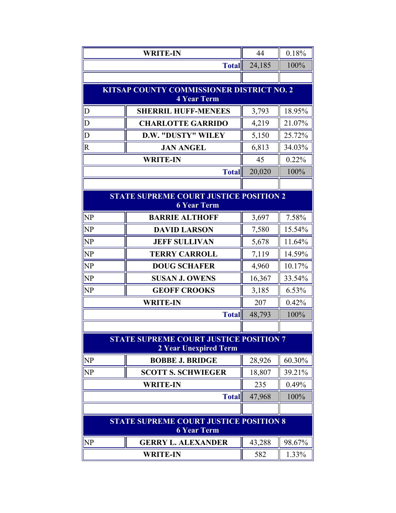|                                                                        | <b>WRITE-IN</b>                                                     | 44     | 0.18%  |
|------------------------------------------------------------------------|---------------------------------------------------------------------|--------|--------|
|                                                                        | <b>Total</b>                                                        | 24,185 | 100%   |
|                                                                        |                                                                     |        |        |
|                                                                        | KITSAP COUNTY COMMISSIONER DISTRICT NO. 2                           |        |        |
|                                                                        | <b>4 Year Term</b>                                                  |        |        |
| $\mathsf{D}$                                                           | <b>SHERRIL HUFF-MENEES</b>                                          | 3,793  | 18.95% |
| $\overline{D}$                                                         | <b>CHARLOTTE GARRIDO</b>                                            | 4,219  | 21.07% |
| $\overline{D}$                                                         | <b>D.W. "DUSTY" WILEY</b>                                           | 5,150  | 25.72% |
| $\overline{\mathsf{R}}$                                                | <b>JAN ANGEL</b>                                                    | 6,813  | 34.03% |
|                                                                        | <b>WRITE-IN</b>                                                     | 45     | 0.22%  |
|                                                                        | <b>Total</b>                                                        | 20,020 | 100%   |
|                                                                        |                                                                     |        |        |
|                                                                        | <b>STATE SUPREME COURT JUSTICE POSITION 2</b><br><b>6 Year Term</b> |        |        |
| <b>NP</b>                                                              | <b>BARRIE ALTHOFF</b>                                               | 3,697  | 7.58%  |
| <b>NP</b>                                                              | <b>DAVID LARSON</b>                                                 | 7,580  | 15.54% |
| <b>NP</b>                                                              | <b>JEFF SULLIVAN</b>                                                | 5,678  | 11.64% |
| <b>NP</b>                                                              | <b>TERRY CARROLL</b>                                                | 7,119  | 14.59% |
| <b>NP</b>                                                              | <b>DOUG SCHAFER</b>                                                 | 4,960  | 10.17% |
| NP                                                                     | <b>SUSAN J. OWENS</b>                                               | 16,367 | 33.54% |
| <b>NP</b>                                                              | <b>GEOFF CROOKS</b>                                                 | 3,185  | 6.53%  |
|                                                                        | <b>WRITE-IN</b>                                                     |        | 0.42%  |
|                                                                        | <b>Total</b>                                                        | 48,793 | 100%   |
|                                                                        |                                                                     |        |        |
| <b>STATE SUPREME COURT JUSTICE POSITION 7</b><br>2 Year Unexpired Term |                                                                     |        |        |
| <b>NP</b>                                                              | <b>BOBBE J. BRIDGE</b>                                              | 28,926 | 60.30% |
| <b>NP</b>                                                              | <b>SCOTT S. SCHWIEGER</b>                                           | 18,807 | 39.21% |
| <b>WRITE-IN</b>                                                        |                                                                     | 235    | 0.49%  |
|                                                                        | <b>Total</b>                                                        | 47,968 | 100%   |
|                                                                        |                                                                     |        |        |
| <b>STATE SUPREME COURT JUSTICE POSITION 8</b><br><b>6 Year Term</b>    |                                                                     |        |        |
| <b>NP</b>                                                              | <b>GERRY L. ALEXANDER</b>                                           | 43,288 | 98.67% |
|                                                                        | <b>WRITE-IN</b>                                                     | 582    | 1.33%  |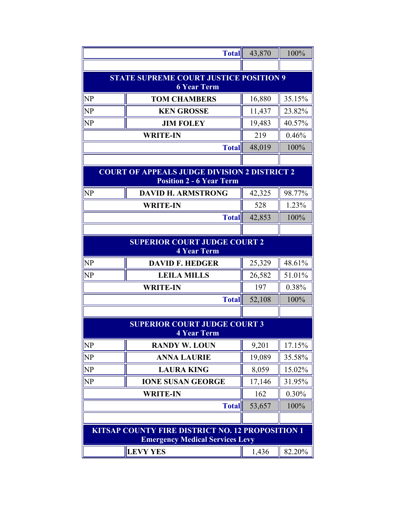|                                                                                            | <b>Total</b>                                                                           | 43,870 | 100%   |
|--------------------------------------------------------------------------------------------|----------------------------------------------------------------------------------------|--------|--------|
|                                                                                            |                                                                                        |        |        |
|                                                                                            | <b>STATE SUPREME COURT JUSTICE POSITION 9</b><br><b>6 Year Term</b>                    |        |        |
| <b>NP</b>                                                                                  | <b>TOM CHAMBERS</b>                                                                    | 16,880 | 35.15% |
| <b>NP</b>                                                                                  | <b>KEN GROSSE</b>                                                                      | 11,437 | 23.82% |
| <b>NP</b>                                                                                  | <b>JIM FOLEY</b>                                                                       | 19,483 | 40.57% |
|                                                                                            | <b>WRITE-IN</b>                                                                        | 219    | 0.46%  |
|                                                                                            | <b>Total</b>                                                                           | 48,019 | 100%   |
|                                                                                            |                                                                                        |        |        |
|                                                                                            | <b>COURT OF APPEALS JUDGE DIVISION 2 DISTRICT 2</b><br><b>Position 2 - 6 Year Term</b> |        |        |
| <b>NP</b>                                                                                  | <b>DAVID H. ARMSTRONG</b>                                                              | 42,325 | 98.77% |
|                                                                                            | <b>WRITE-IN</b>                                                                        | 528    | 1.23%  |
|                                                                                            | <b>Total</b>                                                                           | 42,853 | 100%   |
|                                                                                            |                                                                                        |        |        |
| <b>SUPERIOR COURT JUDGE COURT 2</b><br><b>4 Year Term</b>                                  |                                                                                        |        |        |
| <b>NP</b>                                                                                  | <b>DAVID F. HEDGER</b>                                                                 | 25,329 | 48.61% |
| NP                                                                                         | <b>LEILA MILLS</b>                                                                     | 26,582 | 51.01% |
|                                                                                            | <b>WRITE-IN</b>                                                                        | 197    | 0.38%  |
|                                                                                            | <b>Total</b>                                                                           | 52,108 | 100%   |
|                                                                                            |                                                                                        |        |        |
|                                                                                            | <b>SUPERIOR COURT JUDGE COURT 3</b><br><b>4 Year Term</b>                              |        |        |
| <b>NP</b>                                                                                  | <b>RANDY W. LOUN</b>                                                                   | 9,201  | 17.15% |
| <b>NP</b>                                                                                  | <b>ANNA LAURIE</b>                                                                     | 19,089 | 35.58% |
| <b>NP</b>                                                                                  | <b>LAURA KING</b>                                                                      | 8,059  | 15.02% |
| <b>NP</b>                                                                                  | <b>IONE SUSAN GEORGE</b>                                                               | 17,146 | 31.95% |
|                                                                                            | <b>WRITE-IN</b>                                                                        | 162    | 0.30%  |
|                                                                                            | <b>Total</b>                                                                           | 53,657 | 100%   |
|                                                                                            |                                                                                        |        |        |
| KITSAP COUNTY FIRE DISTRICT NO. 12 PROPOSITION 1<br><b>Emergency Medical Services Levy</b> |                                                                                        |        |        |
|                                                                                            | <b>LEVY YES</b>                                                                        | 1,436  | 82.20% |